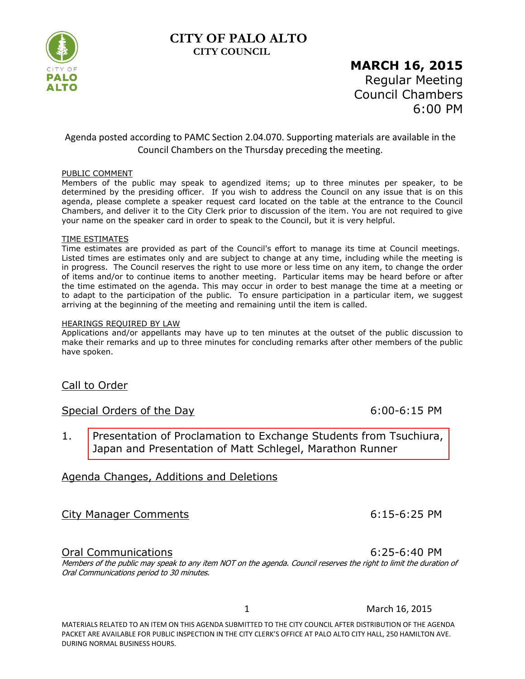# **CITY OF PALO ALTO CITY COUNCIL**



# **MARCH 16, 2015** Regular Meeting Council Chambers 6:00 PM

#### Agenda posted according to PAMC Section 2.04.070. Supporting materials are available in the Council Chambers on the Thursday preceding the meeting.

#### PUBLIC COMMENT

Members of the public may speak to agendized items; up to three minutes per speaker, to be determined by the presiding officer. If you wish to address the Council on any issue that is on this agenda, please complete a speaker request card located on the table at the entrance to the Council Chambers, and deliver it to the City Clerk prior to discussion of the item. You are not required to give your name on the speaker card in order to speak to the Council, but it is very helpful.

#### TIME ESTIMATES

Time estimates are provided as part of the Council's effort to manage its time at Council meetings. Listed times are estimates only and are subject to change at any time, including while the meeting is in progress. The Council reserves the right to use more or less time on any item, to change the order of items and/or to continue items to another meeting. Particular items may be heard before or after the time estimated on the agenda. This may occur in order to best manage the time at a meeting or to adapt to the participation of the public. To ensure participation in a particular item, we suggest arriving at the beginning of the meeting and remaining until the item is called.

#### HEARINGS REQUIRED BY LAW

Applications and/or appellants may have up to ten minutes at the outset of the public discussion to make their remarks and up to three minutes for concluding remarks after other members of the public have spoken.

#### Call to Order

#### Special Orders of the Day 6:00-6:15 PM

1. [Presentation of Proclamation to Exchange Students from Tsuchiura,](https://www.cityofpaloalto.org/civicax/filebank/blobdload.aspx?BlobID=46268)  Japan and Presentation of Matt Schlegel, Marathon Runner

#### Agenda Changes, Additions and Deletions

#### City Manager Comments 6:15-6:25 PM

Oral Communications 6:25-6:40 PM

Members of the public may speak to any item NOT on the agenda. Council reserves the right to limit the duration of Oral Communications period to 30 minutes.

1 March 16, 2015

MATERIALS RELATED TO AN ITEM ON THIS AGENDA SUBMITTED TO THE CITY COUNCIL AFTER DISTRIBUTION OF THE AGENDA PACKET ARE AVAILABLE FOR PUBLIC INSPECTION IN THE CITY CLERK'S OFFICE AT PALO ALTO CITY HALL, 250 HAMILTON AVE. DURING NORMAL BUSINESS HOURS.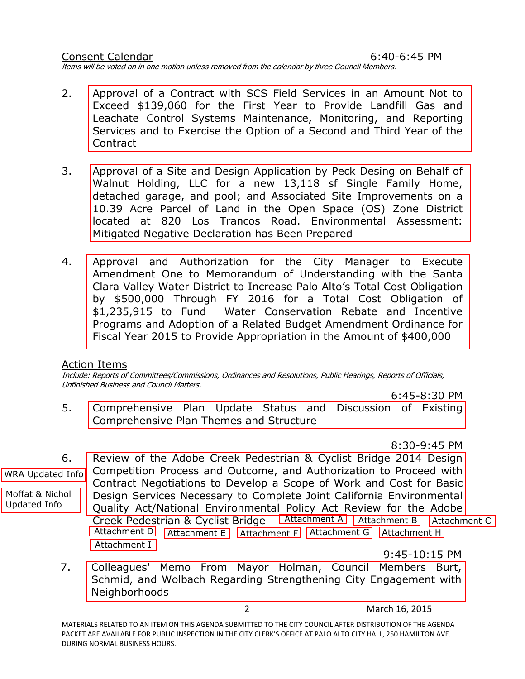Consent Calendar 6:40-6:45 PM Items will be voted on in one motion unless removed from the calendar by three Council Members.

- 2. Approval of a Contract with SCS Field Services in an Amount Not to Exceed \$139,060 for the First Year to Provide Landfill Gas and [Leachate Control Systems Maintenance, Monitoring, and Reporting](https://www.cityofpaloalto.org/civicax/filebank/blobdload.aspx?BlobID=46233) Services and to Exercise the Option of a Second and Third Year of the Contract
- 3. [Approval of a Site and Design Application by Peck Desing on Behalf of](https://www.cityofpaloalto.org/civicax/filebank/blobdload.aspx?BlobID=46271) Walnut Holding, LLC for a new 13,118 sf Single Family Home, detached garage, and pool; and Associated Site Improvements on a 10.39 Acre Parcel of Land in the Open Space (OS) Zone District located at 820 Los Trancos Road. Environmental Assessment: Mitigated Negative Declaration has Been Prepared
- 4. [Approval and Authorization for the City Manager to Execute](https://www.cityofpaloalto.org/civicax/filebank/blobdload.aspx?BlobID=46266) Amendment One to Memorandum of Understanding with the Santa Clara Valley Water District to Increase Palo Alto's Total Cost Obligation by \$500,000 Through FY 2016 for a Total Cost Obligation of \$1,235,915 to Fund Water Conservation Rebate and Incentive Programs and Adoption of a Related Budget Amendment Ordinance for Fiscal Year 2015 to Provide Appropriation in the Amount of \$400,000

#### Action Items

Include: Reports of Committees/Commissions, Ordinances and Resolutions, Public Hearings, Reports of Officials, Unfinished Business and Council Matters.

6:45-8:30 PM

5. [Comprehensive Plan Update Status and Discussion of Existing](https://www.cityofpaloalto.org/civicax/filebank/blobdload.aspx?BlobID=46279) Comprehensive Plan Themes and Structure

8:30-9:45 PM

6. Review of the Adobe Creek Pedestrian & Cyclist Bridge 2014 Design Competition Process and Outcome, and Authorization to Proceed with Contract Negotiations to Develop a Scope of Work and Cost for Basic [Design Services Necessary to Complete Joint California Environmental](https://www.cityofpaloalto.org/civicax/filebank/blobdload.aspx?BlobID=46283) Quality Act/National Environmental Policy Act Review for the Adobe Creek Pedestrian & Cyclist Bridge [Attachment A](https://www.cityofpaloalto.org/civicax/filebank/blobdload.aspx?BlobID=46284) [Attachment B](https://www.cityofpaloalto.org/civicax/filebank/blobdload.aspx?BlobID=46285) [Attachment C](https://www.cityofpaloalto.org/civicax/filebank/blobdload.aspx?BlobID=46295) [Attachment D](https://www.cityofpaloalto.org/civicax/filebank/blobdload.aspx?BlobID=46286) [Attachment E](https://www.cityofpaloalto.org/civicax/filebank/blobdload.aspx?BlobID=46287) [Attachment F](https://www.cityofpaloalto.org/civicax/filebank/blobdload.aspx?BlobID=46288) [Attachment G](https://www.cityofpaloalto.org/civicax/filebank/blobdload.aspx?BlobID=46289) [Attachment H](https://www.cityofpaloalto.org/civicax/filebank/blobdload.aspx?BlobID=46290) [Attachment I](https://www.cityofpaloalto.org/civicax/filebank/blobdload.aspx?BlobID=46291) [WRA Updated Info](https://www.cityofpaloalto.org/civicax/filebank/blobdload.aspx?BlobID=46282) [Moffat & Nichol](https://www.cityofpaloalto.org/civicax/filebank/blobdload.aspx?BlobID=46281)  Updated Info

9:45-10:15 PM

7. [Colleagues' Memo From Mayor Holman, Council Members Burt,](https://www.cityofpaloalto.org/civicax/filebank/blobdload.aspx?BlobID=46269) Schmid, and Wolbach Regarding Strengthening City Engagement with Neighborhoods

2 March 16, 2015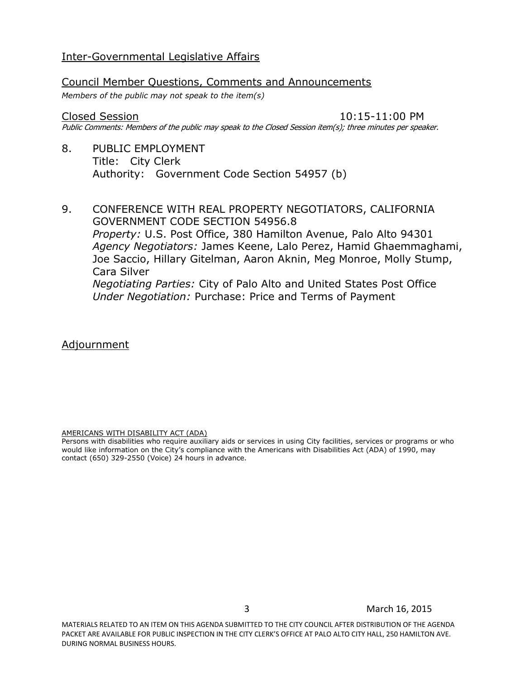#### Inter-Governmental Legislative Affairs

### Council Member Questions, Comments and Announcements

*Members of the public may not speak to the item(s)*

#### Closed Session 10:15-11:00 PM

Public Comments: Members of the public may speak to the Closed Session item(s); three minutes per speaker.

- 8. PUBLIC EMPLOYMENT Title: City Clerk Authority: Government Code Section 54957 (b)
- 9. CONFERENCE WITH REAL PROPERTY NEGOTIATORS, CALIFORNIA GOVERNMENT CODE SECTION 54956.8 *Property:* U.S. Post Office, 380 Hamilton Avenue, Palo Alto 94301 *Agency Negotiators:* James Keene, Lalo Perez, Hamid Ghaemmaghami, Joe Saccio, Hillary Gitelman, Aaron Aknin, Meg Monroe, Molly Stump, Cara Silver *Negotiating Parties:* City of Palo Alto and United States Post Office *Under Negotiation:* Purchase: Price and Terms of Payment

Adjournment

AMERICANS WITH DISABILITY ACT (ADA)

Persons with disabilities who require auxiliary aids or services in using City facilities, services or programs or who would like information on the City's compliance with the Americans with Disabilities Act (ADA) of 1990, may contact (650) 329-2550 (Voice) 24 hours in advance.